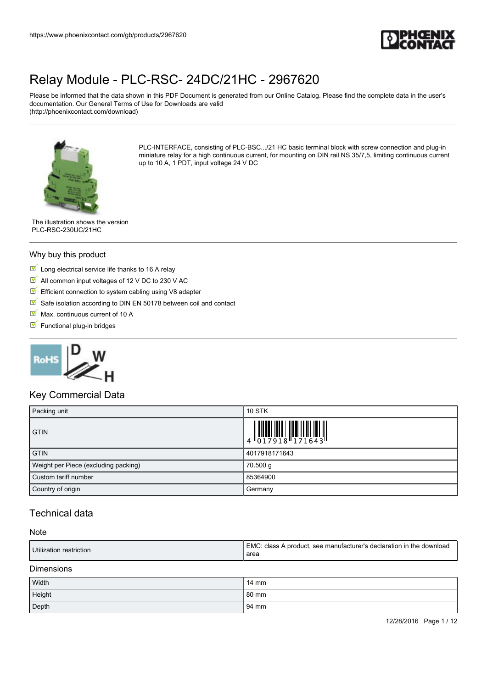

Please be informed that the data shown in this PDF Document is generated from our Online Catalog. Please find the complete data in the user's documentation. Our General Terms of Use for Downloads are valid (http://phoenixcontact.com/download)



PLC-INTERFACE, consisting of PLC-BSC.../21 HC basic terminal block with screw connection and plug-in miniature relay for a high continuous current, for mounting on DIN rail NS 35/7,5, limiting continuous current up to 10 A, 1 PDT, input voltage 24 V DC

The illustration shows the version PLC-RSC-230UC/21HC

#### Why buy this product

- $\blacksquare$  Long electrical service life thanks to 16 A relay
- All common input voltages of 12 V DC to 230 V AC
- $\triangledown$  Efficient connection to system cabling using V8 adapter
- $\triangledown$  Safe isolation according to DIN EN 50178 between coil and contact
- $M$  Max. continuous current of 10 A
- $\blacksquare$  Functional plug-in bridges



#### Key Commercial Data

| Packing unit                         | <b>10 STK</b>                                                                                                                                                                                                                                                                                                                                                                                                        |
|--------------------------------------|----------------------------------------------------------------------------------------------------------------------------------------------------------------------------------------------------------------------------------------------------------------------------------------------------------------------------------------------------------------------------------------------------------------------|
| <b>GTIN</b>                          | $\left( \begin{array}{c} \phantom{\Big }\rule{0pt}{3ex} \rule{0pt}{3ex} \rule{0pt}{3ex} \rule{0pt}{3ex} \rule{0pt}{3ex} \rule{0pt}{3ex} \rule{0pt}{3ex} \rule{0pt}{3ex} \rule{0pt}{3ex} \rule{0pt}{3ex} \rule{0pt}{3ex} \rule{0pt}{3ex} \rule{0pt}{3ex} \rule{0pt}{3ex} \rule{0pt}{3ex} \rule{0pt}{3ex} \rule{0pt}{3ex} \rule{0pt}{3ex} \rule{0pt}{3ex} \rule{0pt}{3ex} \rule{0pt}{3ex} \rule{0pt}{3ex} \rule{0pt}{$ |
| <b>GTIN</b>                          | 4017918171643                                                                                                                                                                                                                                                                                                                                                                                                        |
| Weight per Piece (excluding packing) | 70.500 g                                                                                                                                                                                                                                                                                                                                                                                                             |
| Custom tariff number                 | 85364900                                                                                                                                                                                                                                                                                                                                                                                                             |
| Country of origin                    | Germany                                                                                                                                                                                                                                                                                                                                                                                                              |

#### Technical data

#### Note

| Utilization restriction | EMC: class A product, see manufacturer's declaration in the download<br>area |
|-------------------------|------------------------------------------------------------------------------|
| Dimonojono              |                                                                              |

#### Dimensions

| Width  | 14 mm |
|--------|-------|
| Height | 80 mm |
| Depth  | 94 mm |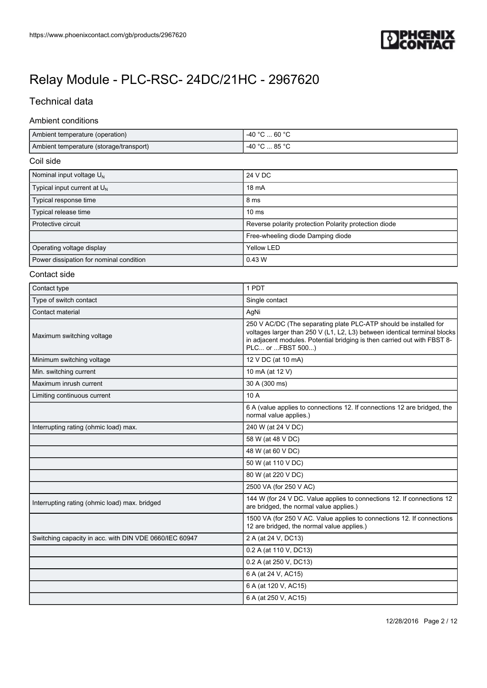

### Technical data

#### Ambient conditions

| Ambient temperature (operation)         | $-40 °C  60 °C$ |
|-----------------------------------------|-----------------|
| Ambient temperature (storage/transport) | $-40 °C  85 °C$ |

#### Coil side

| Nominal input voltage $U_{N}$           | 24 V DC                                               |
|-----------------------------------------|-------------------------------------------------------|
| Typical input current at $U_{N}$        | 18 mA                                                 |
| Typical response time                   | 8 ms                                                  |
| Typical release time                    | 10 <sub>ms</sub>                                      |
| Protective circuit                      | Reverse polarity protection Polarity protection diode |
|                                         | Free-wheeling diode Damping diode                     |
| Operating voltage display               | Yellow LED                                            |
| Power dissipation for nominal condition | $0.43$ W                                              |

#### Contact side

| Contact type                                           | 1 PDT                                                                                                                                                                                                                                           |
|--------------------------------------------------------|-------------------------------------------------------------------------------------------------------------------------------------------------------------------------------------------------------------------------------------------------|
| Type of switch contact                                 | Single contact                                                                                                                                                                                                                                  |
| Contact material                                       | AgNi                                                                                                                                                                                                                                            |
| Maximum switching voltage                              | 250 V AC/DC (The separating plate PLC-ATP should be installed for<br>voltages larger than 250 V (L1, L2, L3) between identical terminal blocks<br>in adjacent modules. Potential bridging is then carried out with FBST 8-<br>PLC or  FBST 500) |
| Minimum switching voltage                              | 12 V DC (at 10 mA)                                                                                                                                                                                                                              |
| Min. switching current                                 | 10 mA (at 12 V)                                                                                                                                                                                                                                 |
| Maximum inrush current                                 | 30 A (300 ms)                                                                                                                                                                                                                                   |
| Limiting continuous current                            | 10 A                                                                                                                                                                                                                                            |
|                                                        | 6 A (value applies to connections 12. If connections 12 are bridged, the<br>normal value applies.)                                                                                                                                              |
| Interrupting rating (ohmic load) max.                  | 240 W (at 24 V DC)                                                                                                                                                                                                                              |
|                                                        | 58 W (at 48 V DC)                                                                                                                                                                                                                               |
|                                                        | 48 W (at 60 V DC)                                                                                                                                                                                                                               |
|                                                        | 50 W (at 110 V DC)                                                                                                                                                                                                                              |
|                                                        | 80 W (at 220 V DC)                                                                                                                                                                                                                              |
|                                                        | 2500 VA (for 250 V AC)                                                                                                                                                                                                                          |
| Interrupting rating (ohmic load) max. bridged          | 144 W (for 24 V DC. Value applies to connections 12. If connections 12<br>are bridged, the normal value applies.)                                                                                                                               |
|                                                        | 1500 VA (for 250 V AC. Value applies to connections 12. If connections<br>12 are bridged, the normal value applies.)                                                                                                                            |
| Switching capacity in acc. with DIN VDE 0660/IEC 60947 | 2 A (at 24 V, DC13)                                                                                                                                                                                                                             |
|                                                        | 0.2 A (at 110 V, DC13)                                                                                                                                                                                                                          |
|                                                        | 0.2 A (at 250 V, DC13)                                                                                                                                                                                                                          |
|                                                        | 6 A (at 24 V, AC15)                                                                                                                                                                                                                             |
|                                                        | 6 A (at 120 V, AC15)                                                                                                                                                                                                                            |
|                                                        | 6 A (at 250 V, AC15)                                                                                                                                                                                                                            |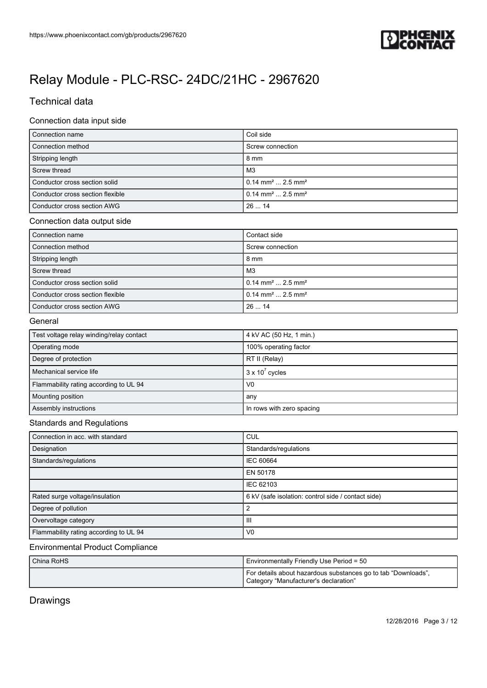

### Technical data

#### Connection data input side

| Connection name                  | Coil side                                  |
|----------------------------------|--------------------------------------------|
| Connection method                | Screw connection                           |
| Stripping length                 | 8 mm                                       |
| Screw thread                     | MЗ                                         |
| Conductor cross section solid    | $0.14$ mm <sup>2</sup> 2.5 mm <sup>2</sup> |
| Conductor cross section flexible | $0.14$ mm <sup>2</sup> 2.5 mm <sup>2</sup> |
| Conductor cross section AWG      | 2614                                       |

#### Connection data output side

| Connection name                  | Contact side                                |
|----------------------------------|---------------------------------------------|
| Connection method                | Screw connection                            |
| Stripping length                 | $8 \text{ mm}$                              |
| Screw thread                     | M3                                          |
| Conductor cross section solid    | $10.14 \text{ mm}^2 \dots 2.5 \text{ mm}^2$ |
| Conductor cross section flexible | $10.14 \text{ mm}^2 \dots 2.5 \text{ mm}^2$ |
| Conductor cross section AWG      | 12614                                       |

#### **General**

| Test voltage relay winding/relay contact | 4 kV AC (50 Hz, 1 min.)   |
|------------------------------------------|---------------------------|
| Operating mode                           | 100% operating factor     |
| Degree of protection                     | RT II (Relay)             |
| Mechanical service life                  | $3 \times 10^7$ cycles    |
| Flammability rating according to UL 94   | V <sub>0</sub>            |
| Mounting position                        | any                       |
| Assembly instructions                    | In rows with zero spacing |

#### Standards and Regulations

| Connection in acc. with standard       | <b>CUL</b>                                         |
|----------------------------------------|----------------------------------------------------|
| Designation                            | Standards/regulations                              |
| Standards/regulations                  | <b>IEC 60664</b>                                   |
|                                        | EN 50178                                           |
|                                        | IEC 62103                                          |
| Rated surge voltage/insulation         | 6 kV (safe isolation: control side / contact side) |
| Degree of pollution                    | 2                                                  |
| Overvoltage category                   | Ш                                                  |
| Flammability rating according to UL 94 | V <sub>0</sub>                                     |

#### Environmental Product Compliance

| China RoHS | Environmentally Friendly Use Period = 50                                                               |
|------------|--------------------------------------------------------------------------------------------------------|
|            | For details about hazardous substances go to tab "Downloads",<br>Category "Manufacturer's declaration" |

### Drawings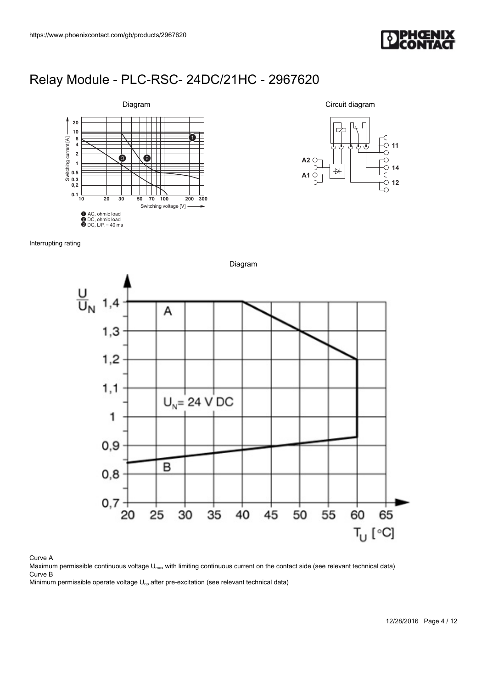

**11**

**14**  $\circ$  12

Circuit diagram

 $\overline{\mathbb{H}}$ 

**A2**

**A1**

### [Relay Module - PLC-RSC- 24DC/21HC - 2967620](https://www.phoenixcontact.com/gb/products/2967620)



Interrupting rating

Diagram  $\frac{U}{U_N}$  $1,4$ A  $1,3$  $1,2$  $1,1$  $U_{N}$  = 24 V DC 1  $0,9$ B  $0,8$  $0,7$  $20$ 25 45 55 60 65 30 35 40 50  $T_U$  [ $^{\circ}$ C]

#### Curve A

Maximum permissible continuous voltage U<sub>max</sub> with limiting continuous current on the contact side (see relevant technical data) Curve B

Minimum permissible operate voltage  $U_{op}$  after pre-excitation (see relevant technical data)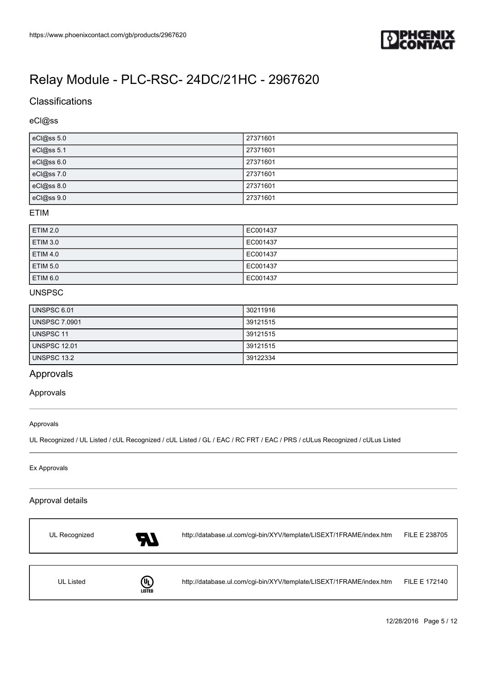

### **Classifications**

#### eCl@ss

| eCl@ss 5.0 | 27371601 |
|------------|----------|
| eCl@ss 5.1 | 27371601 |
| eCl@ss 6.0 | 27371601 |
| eCl@ss 7.0 | 27371601 |
| eCl@ss 8.0 | 27371601 |
| eCl@ss 9.0 | 27371601 |

#### ETIM

| <b>ETIM 2.0</b> | EC001437 |
|-----------------|----------|
| <b>ETIM 3.0</b> | EC001437 |
| <b>ETIM 4.0</b> | EC001437 |
| <b>ETIM 5.0</b> | EC001437 |
| <b>ETIM 6.0</b> | EC001437 |

#### UNSPSC

| UNSPSC 6.01          | 30211916 |
|----------------------|----------|
| <b>UNSPSC 7.0901</b> | 39121515 |
| <b>UNSPSC 11</b>     | 39121515 |
| UNSPSC 12.01         | 39121515 |
| UNSPSC 13.2          | 39122334 |

#### Approvals

#### Approvals

#### Approvals

UL Recognized / UL Listed / cUL Recognized / cUL Listed / GL / EAC / RC FRT / EAC / PRS / cULus Recognized / cULus Listed

#### Ex Approvals

#### Approval details

| UL Recognized | 57                 | http://database.ul.com/cgi-bin/XYV/template/LISEXT/1FRAME/index.htm | FILE E 238705 |
|---------------|--------------------|---------------------------------------------------------------------|---------------|
|               |                    |                                                                     |               |
| UL Listed     | ⋓<br><b>LISTED</b> | http://database.ul.com/cgi-bin/XYV/template/LISEXT/1FRAME/index.htm | FILE E 172140 |

12/28/2016 Page 5 / 12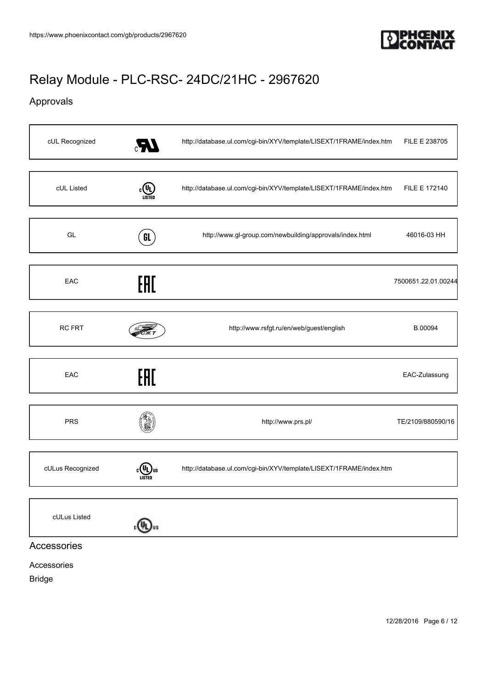

### Approvals

| cUL Recognized   | $\epsilon$    | http://database.ul.com/cgi-bin/XYV/template/LISEXT/1FRAME/index.htm | FILE E 238705       |
|------------------|---------------|---------------------------------------------------------------------|---------------------|
| cUL Listed       | $\frac{1}{2}$ | http://database.ul.com/cgi-bin/XYV/template/LISEXT/1FRAME/index.htm | FILE E 172140       |
| GL               | GL            | http://www.gl-group.com/newbuilding/approvals/index.html            | 46016-03 HH         |
| EAC              | EAC           |                                                                     | 7500651.22.01.00244 |
| <b>RC FRT</b>    |               | http://www.rsfgt.ru/en/web/guest/english                            | B.00094             |
| EAC              | EAC           |                                                                     | EAC-Zulassung       |
| <b>PRS</b>       |               | http://www.prs.pl/                                                  | TE/2109/880590/16   |
| cULus Recognized | <b>LISTED</b> | http://database.ul.com/cgi-bin/XYV/template/LISEXT/1FRAME/index.htm |                     |
| cULus Listed     | .(4).,        |                                                                     |                     |
| Accessories      |               |                                                                     |                     |

#### Accessories

Bridge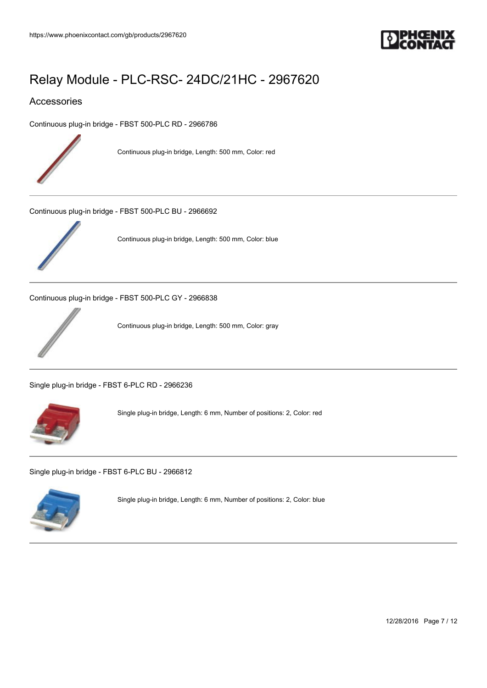

#### Accessories

[Continuous plug-in bridge - FBST 500-PLC RD - 2966786](https://www.phoenixcontact.com/gb/products/2966786)



Continuous plug-in bridge, Length: 500 mm, Color: red

[Continuous plug-in bridge - FBST 500-PLC BU - 2966692](https://www.phoenixcontact.com/gb/products/2966692)



Continuous plug-in bridge, Length: 500 mm, Color: blue

[Continuous plug-in bridge - FBST 500-PLC GY - 2966838](https://www.phoenixcontact.com/gb/products/2966838)



Continuous plug-in bridge, Length: 500 mm, Color: gray

[Single plug-in bridge - FBST 6-PLC RD - 2966236](https://www.phoenixcontact.com/gb/products/2966236)



Single plug-in bridge, Length: 6 mm, Number of positions: 2, Color: red

[Single plug-in bridge - FBST 6-PLC BU - 2966812](https://www.phoenixcontact.com/gb/products/2966812)



Single plug-in bridge, Length: 6 mm, Number of positions: 2, Color: blue

12/28/2016 Page 7 / 12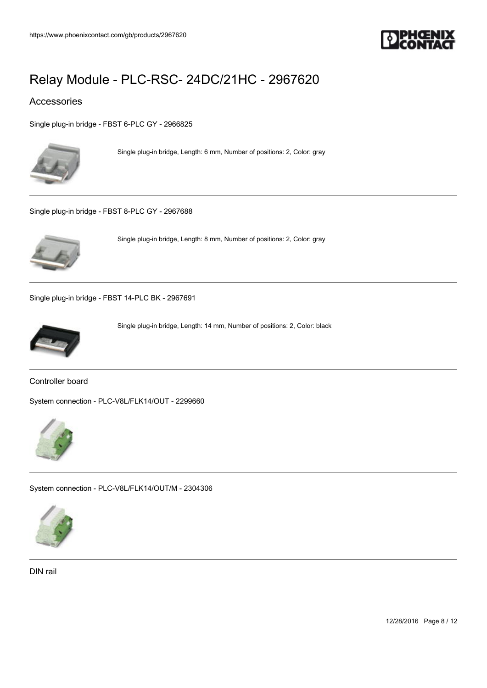

#### Accessories

[Single plug-in bridge - FBST 6-PLC GY - 2966825](https://www.phoenixcontact.com/gb/products/2966825)



Single plug-in bridge, Length: 6 mm, Number of positions: 2, Color: gray

[Single plug-in bridge - FBST 8-PLC GY - 2967688](https://www.phoenixcontact.com/gb/products/2967688)



Single plug-in bridge, Length: 8 mm, Number of positions: 2, Color: gray

[Single plug-in bridge - FBST 14-PLC BK - 2967691](https://www.phoenixcontact.com/gb/products/2967691)



Single plug-in bridge, Length: 14 mm, Number of positions: 2, Color: black

Controller board

[System connection - PLC-V8L/FLK14/OUT - 2299660](https://www.phoenixcontact.com/gb/products/2299660)



[System connection - PLC-V8L/FLK14/OUT/M - 2304306](https://www.phoenixcontact.com/gb/products/2304306)



DIN rail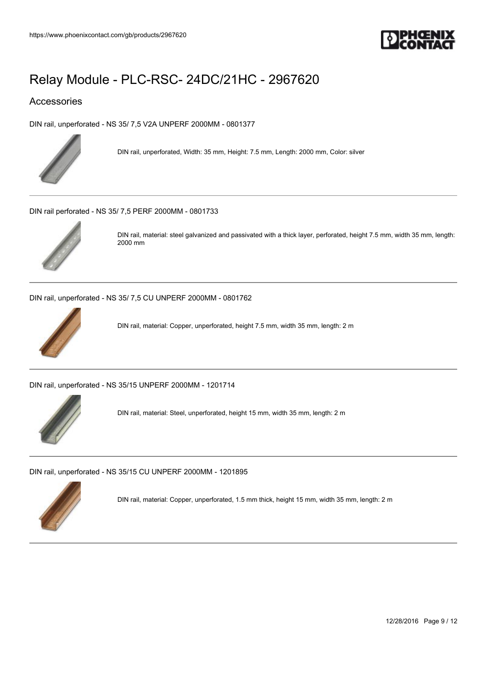

#### Accessories

[DIN rail, unperforated - NS 35/ 7,5 V2A UNPERF 2000MM - 0801377](https://www.phoenixcontact.com/gb/products/0801377)



DIN rail, unperforated, Width: 35 mm, Height: 7.5 mm, Length: 2000 mm, Color: silver

[DIN rail perforated - NS 35/ 7,5 PERF 2000MM - 0801733](https://www.phoenixcontact.com/gb/products/0801733)



DIN rail, material: steel galvanized and passivated with a thick layer, perforated, height 7.5 mm, width 35 mm, length: 2000 mm

[DIN rail, unperforated - NS 35/ 7,5 CU UNPERF 2000MM - 0801762](https://www.phoenixcontact.com/gb/products/0801762)



DIN rail, material: Copper, unperforated, height 7.5 mm, width 35 mm, length: 2 m

[DIN rail, unperforated - NS 35/15 UNPERF 2000MM - 1201714](https://www.phoenixcontact.com/gb/products/1201714)



DIN rail, material: Steel, unperforated, height 15 mm, width 35 mm, length: 2 m

[DIN rail, unperforated - NS 35/15 CU UNPERF 2000MM - 1201895](https://www.phoenixcontact.com/gb/products/1201895)



DIN rail, material: Copper, unperforated, 1.5 mm thick, height 15 mm, width 35 mm, length: 2 m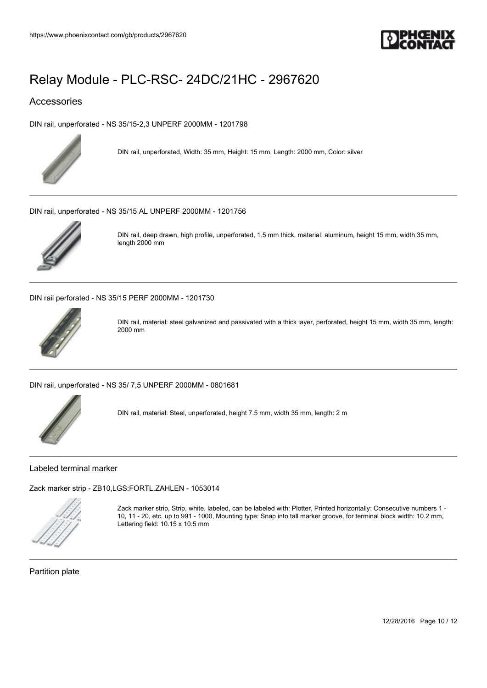

#### Accessories

[DIN rail, unperforated - NS 35/15-2,3 UNPERF 2000MM - 1201798](https://www.phoenixcontact.com/gb/products/1201798)



DIN rail, unperforated, Width: 35 mm, Height: 15 mm, Length: 2000 mm, Color: silver

[DIN rail, unperforated - NS 35/15 AL UNPERF 2000MM - 1201756](https://www.phoenixcontact.com/gb/products/1201756)



DIN rail, deep drawn, high profile, unperforated, 1.5 mm thick, material: aluminum, height 15 mm, width 35 mm, length 2000 mm

[DIN rail perforated - NS 35/15 PERF 2000MM - 1201730](https://www.phoenixcontact.com/gb/products/1201730)



DIN rail, material: steel galvanized and passivated with a thick layer, perforated, height 15 mm, width 35 mm, length: 2000 mm

[DIN rail, unperforated - NS 35/ 7,5 UNPERF 2000MM - 0801681](https://www.phoenixcontact.com/gb/products/0801681)



DIN rail, material: Steel, unperforated, height 7.5 mm, width 35 mm, length: 2 m

Labeled terminal marker

[Zack marker strip - ZB10,LGS:FORTL.ZAHLEN - 1053014](https://www.phoenixcontact.com/gb/products/1053014)



Zack marker strip, Strip, white, labeled, can be labeled with: Plotter, Printed horizontally: Consecutive numbers 1 - 10, 11 - 20, etc. up to 991 - 1000, Mounting type: Snap into tall marker groove, for terminal block width: 10.2 mm, Lettering field: 10.15 x 10.5 mm

Partition plate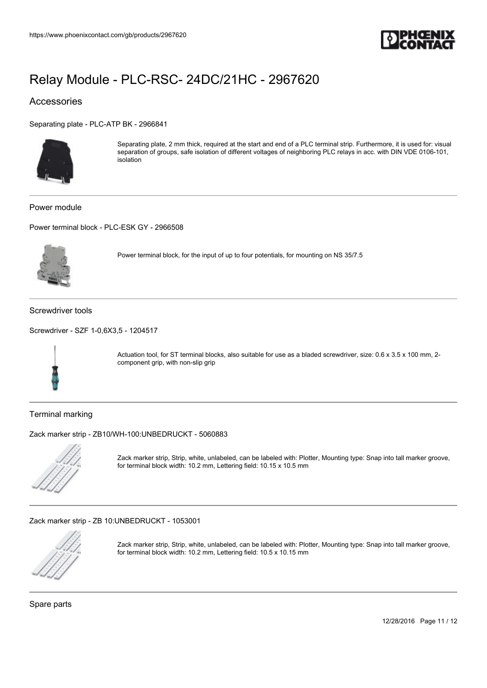

#### Accessories

[Separating plate - PLC-ATP BK - 2966841](https://www.phoenixcontact.com/gb/products/2966841)



Separating plate, 2 mm thick, required at the start and end of a PLC terminal strip. Furthermore, it is used for: visual separation of groups, safe isolation of different voltages of neighboring PLC relays in acc. with DIN VDE 0106-101, isolation

Power module

[Power terminal block - PLC-ESK GY - 2966508](https://www.phoenixcontact.com/gb/products/2966508)



Power terminal block, for the input of up to four potentials, for mounting on NS 35/7.5

Screwdriver tools

[Screwdriver - SZF 1-0,6X3,5 - 1204517](https://www.phoenixcontact.com/gb/products/1204517)



Actuation tool, for ST terminal blocks, also suitable for use as a bladed screwdriver, size: 0.6 x 3.5 x 100 mm, 2component grip, with non-slip grip

Terminal marking

[Zack marker strip - ZB10/WH-100:UNBEDRUCKT - 5060883](https://www.phoenixcontact.com/gb/products/5060883)



Zack marker strip, Strip, white, unlabeled, can be labeled with: Plotter, Mounting type: Snap into tall marker groove, for terminal block width: 10.2 mm, Lettering field: 10.15 x 10.5 mm

[Zack marker strip - ZB 10:UNBEDRUCKT - 1053001](https://www.phoenixcontact.com/gb/products/1053001)



Zack marker strip, Strip, white, unlabeled, can be labeled with: Plotter, Mounting type: Snap into tall marker groove, for terminal block width: 10.2 mm, Lettering field: 10.5 x 10.15 mm

Spare parts

12/28/2016 Page 11 / 12